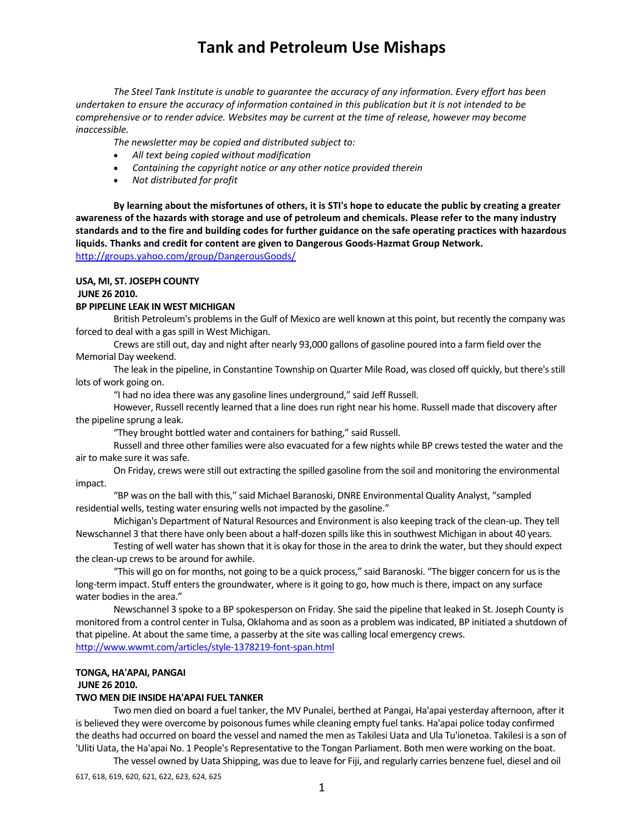*The Steel Tank Institute is unable to guarantee the accuracy of any information. Every effort has been* undertaken to ensure the accuracy of information contained in this publication but it is not intended to be *comprehensive or to render advice. Websites may be current at the time of release, however may become inaccessible.*

*The newsletter may be copied and distributed subject to:*

- *All text being copied without modification*
- *Containing the copyright notice or any other notice provided therein*
- *Not distributed for profit*

By learning about the misfortunes of others, it is STI's hope to educate the public by creating a greater awareness of the hazards with storage and use of petroleum and chemicals. Please refer to the many industry standards and to the fire and building codes for further guidance on the safe operating practices with hazardous **liquids. Thanks and credit for content are given to Dangerous Goods‐Hazmat Group Network.**  http://groups.yahoo.com/group/DangerousGoods/

**USA, MI, ST. JOSEPH COUNTY**

#### **JUNE 26 2010.**

#### **BP PIPELINE LEAK IN WEST MICHIGAN**

British Petroleum's problems in the Gulf of Mexico are well known at this point, but recently the company was forced to deal with a gas spill in West Michigan.

Crews are still out, day and night after nearly 93,000 gallons of gasoline poured into a farm field over the Memorial Day weekend.

The leak in the pipeline, in Constantine Township on Quarter Mile Road, was closed off quickly, but there's still lots of work going on.

"I had no idea there was any gasoline lines underground," said Jeff Russell.

However, Russell recently learned that a line doesrun right near his home. Russell made that discovery after the pipeline sprung a leak.

"They brought bottled water and containersfor bathing," said Russell.

Russell and three other families were also evacuated for a few nights while BP crews tested the water and the air to make sure it was safe.

On Friday, crews were still out extracting the spilled gasoline from the soil and monitoring the environmental impact.

"BP was on the ball with this," said Michael Baranoski, DNRE Environmental Quality Analyst, "sampled residential wells, testing water ensuring wells not impacted by the gasoline."

Michigan's Department of Natural Resources and Environment is also keeping track of the clean‐up. They tell Newschannel 3 that there have only been about a half-dozen spills like this in southwest Michigan in about 40 years.

Testing of well water has shown that it is okay for those in the area to drink the water, but they should expect the clean-up crews to be around for awhile.

"This will go on for months, not going to be a quick process," said Baranoski. "The bigger concern for usisthe long-term impact. Stuff enters the groundwater, where is it going to go, how much is there, impact on any surface water bodies in the area."

Newschannel 3 spoke to a BP spokesperson on Friday. She said the pipeline that leaked in St. Joseph County is monitored from a control center in Tulsa, Oklahoma and assoon as a problem wasindicated, BP initiated a shutdown of that pipeline. At about the same time, a passerby at the site was calling local emergency crews. http://www.wwmt.com/articles/style‐1378219‐font‐span.html

### **TONGA, HA'APAI, PANGAI**

#### **JUNE 26 2010.**

#### **TWO MEN DIE INSIDE HA'APAI FUEL TANKER**

Two men died on board a fuel tanker, the MV Punalei, berthed at Pangai, Ha'apai yesterday afternoon, after it is believed they were overcome by poisonous fumes while cleaning empty fuel tanks. Ha'apai police today confirmed the deaths had occurred on board the vessel and named the men as Takilesi Uata and Ula Tu'ionetoa. Takilesi is a son of 'Uliti Uata, the Ha'apai No. 1 People's Representative to the Tongan Parliament. Both men were working on the boat.

The vessel owned by Uata Shipping, was due to leave for Fiji, and regularly carries benzene fuel, diesel and oil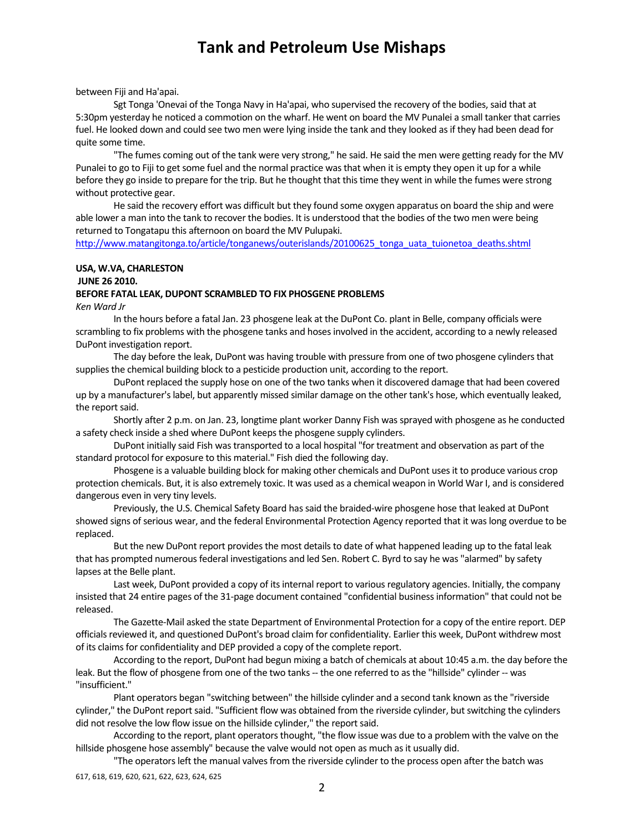#### between Fiji and Ha'apai.

Sgt Tonga 'Onevai of the Tonga Navy in Ha'apai, who supervised the recovery of the bodies, said that at 5:30pm yesterday he noticed a commotion on the wharf. He went on board the MV Punalei a small tanker that carries fuel. He looked down and could see two men were lying inside the tank and they looked as if they had been dead for quite some time.

"The fumes coming out of the tank were very strong," he said. He said the men were getting ready for the MV Punalei to go to Fiji to get some fuel and the normal practice was that when it is empty they open it up for a while before they go inside to prepare for the trip. But he thought that this time they went in while the fumes were strong without protective gear.

He said the recovery effort was difficult but they found some oxygen apparatus on board the ship and were able lower a man into the tank to recover the bodies. It is understood that the bodies of the two men were being returned to Tongatapu this afternoon on board the MV Pulupaki.

http://www.matangitonga.to/article/tonganews/outerislands/20100625\_tonga\_uata\_tuionetoa\_deaths.shtml

### **USA, W.VA, CHARLESTON JUNE 26 2010. BEFORE FATAL LEAK, DUPONT SCRAMBLED TO FIX PHOSGENE PROBLEMS**

*Ken Ward Jr*

In the hours before a fatal Jan. 23 phosgene leak at the DuPont Co. plant in Belle, company officials were scrambling to fix problems with the phosgene tanks and hoses involved in the accident, according to a newly released DuPont investigation report.

The day before the leak, DuPont was having trouble with pressure from one of two phosgene cylinders that supplies the chemical building block to a pesticide production unit, according to the report.

DuPont replaced the supply hose on one of the two tanks when it discovered damage that had been covered up by a manufacturer'slabel, but apparently missed similar damage on the other tank's hose, which eventually leaked, the report said.

Shortly after 2 p.m. on Jan. 23, longtime plant worker Danny Fish was sprayed with phosgene as he conducted a safety check inside a shed where DuPont keepsthe phosgene supply cylinders.

DuPont initially said Fish was transported to a local hospital "for treatment and observation as part of the standard protocol for exposure to this material." Fish died the following day.

Phosgene is a valuable building block for making other chemicals and DuPont usesit to produce various crop protection chemicals. But, it is also extremely toxic. It was used as a chemical weapon in World War I, and is considered dangerous even in very tiny levels.

Previously, the U.S. Chemical Safety Board hassaid the braided‐wire phosgene hose that leaked at DuPont showed signs of serious wear, and the federal Environmental Protection Agency reported that it was long overdue to be replaced.

But the new DuPont report provides the most details to date of what happened leading up to the fatal leak that has prompted numerousfederal investigations and led Sen. Robert C. Byrd to say he was "alarmed" by safety lapses at the Belle plant.

Last week, DuPont provided a copy of its internal report to various regulatory agencies. Initially, the company insisted that 24 entire pages of the 31‐page document contained "confidential businessinformation" that could not be released.

The Gazette‐Mail asked the state Department of Environmental Protection for a copy of the entire report. DEP officials reviewed it, and questioned DuPont's broad claim for confidentiality. Earlier this week, DuPont withdrew most of its claims for confidentiality and DEP provided a copy of the complete report.

According to the report, DuPont had begun mixing a batch of chemicals at about 10:45 a.m. the day before the leak. But the flow of phosgene from one of the two tanks -- the one referred to as the "hillside" cylinder -- was "insufficient."

Plant operators began "switching between" the hillside cylinder and a second tank known as the "riverside cylinder," the DuPont report said. "Sufficient flow was obtained from the riverside cylinder, but switching the cylinders did not resolve the low flow issue on the hillside cylinder," the report said.

According to the report, plant operators thought, "the flow issue was due to a problem with the valve on the hillside phosgene hose assembly" because the valve would not open as much as it usually did.

"The operators left the manual valves from the riverside cylinder to the process open after the batch was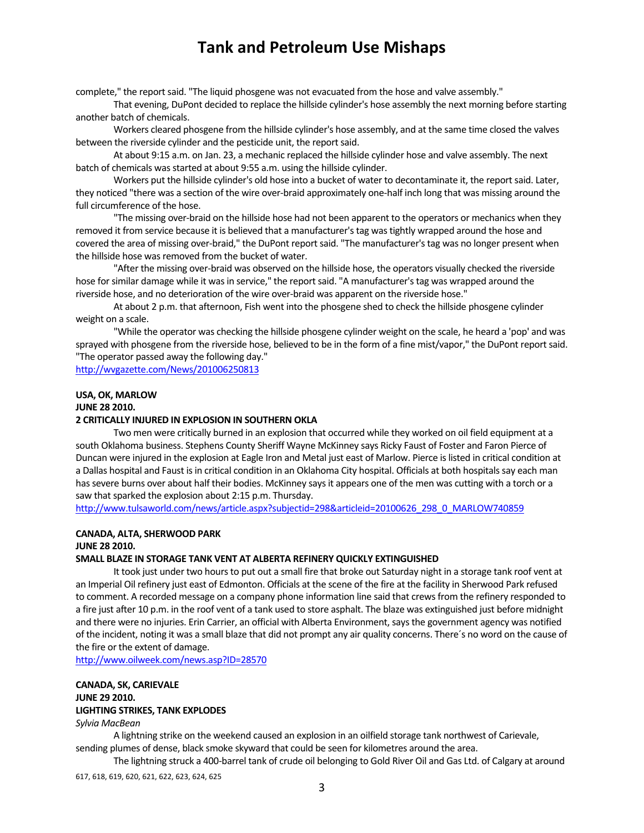complete," the report said. "The liquid phosgene was not evacuated from the hose and valve assembly."

That evening, DuPont decided to replace the hillside cylinder's hose assembly the next morning before starting another batch of chemicals.

Workers cleared phosgene from the hillside cylinder's hose assembly, and at the same time closed the valves between the riverside cylinder and the pesticide unit, the report said.

At about 9:15 a.m. on Jan. 23, a mechanic replaced the hillside cylinder hose and valve assembly. The next batch of chemicals was started at about 9:55 a.m. using the hillside cylinder.

Workers put the hillside cylinder's old hose into a bucket of water to decontaminate it, the report said. Later, they noticed "there was a section of the wire over‐braid approximately one‐half inch long that was missing around the full circumference of the hose.

"The missing over‐braid on the hillside hose had not been apparent to the operators or mechanics when they removed it from service because it is believed that a manufacturer'stag wastightly wrapped around the hose and covered the area of missing over-braid," the DuPont report said. "The manufacturer's tag was no longer present when the hillside hose was removed from the bucket of water.

"After the missing over‐braid was observed on the hillside hose, the operators visually checked the riverside hose for similar damage while it was in service," the report said. "A manufacturer's tag was wrapped around the riverside hose, and no deterioration of the wire over‐braid was apparent on the riverside hose."

At about 2 p.m. that afternoon, Fish went into the phosgene shed to check the hillside phosgene cylinder weight on a scale.

"While the operator was checking the hillside phosgene cylinder weight on the scale, he heard a 'pop' and was sprayed with phosgene from the riverside hose, believed to be in the form of a fine mist/vapor," the DuPont report said. "The operator passed away the following day."

http://wvgazette.com/News/201006250813

#### **USA, OK, MARLOW JUNE 28 2010.**

### **2 CRITICALLY INJURED IN EXPLOSION IN SOUTHERN OKLA**

Two men were critically burned in an explosion that occurred while they worked on oil field equipment at a south Oklahoma business. Stephens County Sheriff Wayne McKinney says Ricky Faust of Foster and Faron Pierce of Duncan were injured in the explosion at Eagle Iron and Metal just east of Marlow. Pierce islisted in critical condition at a Dallas hospital and Faust is in critical condition in an Oklahoma City hospital. Officials at both hospitals say each man has severe burns over about half their bodies. McKinney says it appears one of the men was cutting with a torch or a saw that sparked the explosion about 2:15 p.m. Thursday.

http://www.tulsaworld.com/news/article.aspx?subjectid=298&articleid=20100626\_298\_0\_MARLOW740859

# **CANADA, ALTA, SHERWOOD PARK**

### **JUNE 28 2010.**

#### **SMALL BLAZE IN STORAGE TANK VENT AT ALBERTA REFINERY QUICKLY EXTINGUISHED**

It took just under two hours to put out a small fire that broke out Saturday night in a storage tank roof vent at an Imperial Oil refinery just east of Edmonton. Officials at the scene of the fire at the facility in Sherwood Park refused to comment. A recorded message on a company phone information line said that crewsfrom the refinery responded to a fire just after 10 p.m. in the roof vent of a tank used to store asphalt. The blaze was extinguished just before midnight and there were no injuries. Erin Carrier, an official with Alberta Environment, says the government agency was notified of the incident, noting it was a small blaze that did not prompt any air quality concerns. There´s no word on the cause of the fire or the extent of damage.

http://www.oilweek.com/news.asp?ID=28570

#### **CANADA, SK, CARIEVALE JUNE 29 2010. LIGHTING STRIKES, TANK EXPLODES**

#### *Sylvia MacBean*

A lightning strike on the weekend caused an explosion in an oilfield storage tank northwest of Carievale, sending plumes of dense, black smoke skyward that could be seen for kilometres around the area.

The lightning struck a 400‐barrel tank of crude oil belonging to Gold River Oil and Gas Ltd. of Calgary at around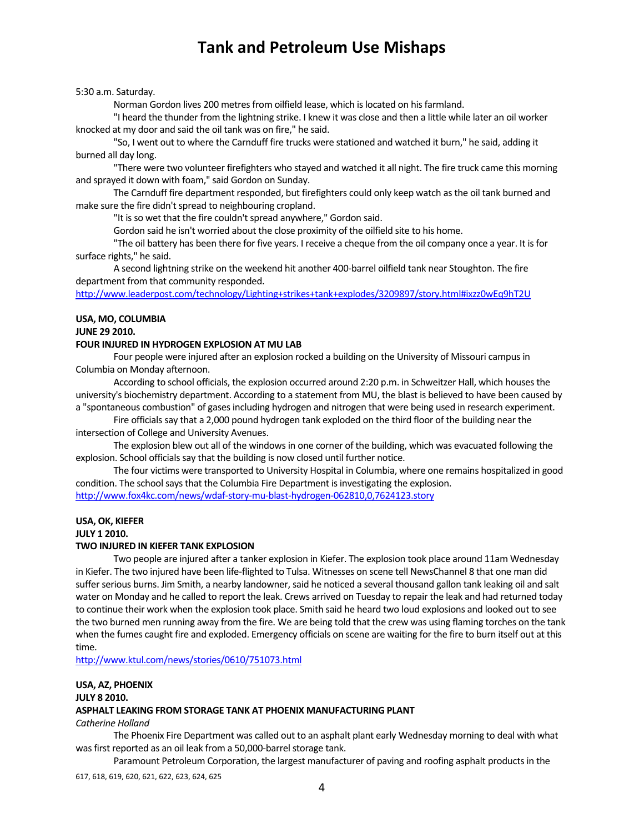5:30 a.m. Saturday.

Norman Gordon lives 200 metres from oilfield lease, which is located on his farmland.

"I heard the thunder from the lightning strike. I knew it was close and then a little while later an oil worker knocked at my door and said the oil tank was on fire," he said.

"So, I went out to where the Carnduff fire trucks were stationed and watched it burn," he said, adding it burned all day long.

"There were two volunteer firefighters who stayed and watched it all night. The fire truck came this morning and sprayed it down with foam," said Gordon on Sunday.

The Carnduff fire department responded, but firefighters could only keep watch asthe oil tank burned and make sure the fire didn't spread to neighbouring cropland.

"It is so wet that the fire couldn't spread anywhere," Gordon said.

Gordon said he isn't worried about the close proximity of the oilfield site to his home.

"The oil battery has been there for five years. I receive a cheque from the oil company once a year. It isfor surface rights," he said.

A second lightning strike on the weekend hit another 400‐barrel oilfield tank near Stoughton. The fire department from that community responded.

http://www.leaderpost.com/technology/Lighting+strikes+tank+explodes/3209897/story.html#ixzz0wEq9hT2U

#### **USA, MO, COLUMBIA JUNE 29 2010.**

#### **FOUR INJURED IN HYDROGEN EXPLOSION AT MU LAB**

Four people were injured after an explosion rocked a building on the University of Missouri campus in Columbia on Monday afternoon.

According to school officials, the explosion occurred around 2:20 p.m. in Schweitzer Hall, which houses the university's biochemistry department. According to a statement from MU, the blast is believed to have been caused by a "spontaneous combustion" of gases including hydrogen and nitrogen that were being used in research experiment.

Fire officials say that a 2,000 pound hydrogen tank exploded on the third floor of the building near the intersection of College and University Avenues.

The explosion blew out all of the windows in one corner of the building, which was evacuated following the explosion. School officials say that the building is now closed until further notice.

The four victims were transported to University Hospital in Columbia, where one remains hospitalized in good condition. The school says that the Columbia Fire Department is investigating the explosion. http://www.fox4kc.com/news/wdaf‐story‐mu‐blast‐hydrogen‐062810,0,7624123.story

### **USA, OK, KIEFER**

**JULY 1 2010.** 

#### **TWO INJURED IN KIEFER TANK EXPLOSION**

Two people are injured after a tanker explosion in Kiefer. The explosion took place around 11am Wednesday in Kiefer. The two injured have been life-flighted to Tulsa. Witnesses on scene tell NewsChannel 8 that one man did suffer serious burns. Jim Smith, a nearby landowner, said he noticed a several thousand gallon tank leaking oil and salt water on Monday and he called to report the leak. Crews arrived on Tuesday to repair the leak and had returned today to continue their work when the explosion took place. Smith said he heard two loud explosions and looked out to see the two burned men running away from the fire. We are being told that the crew was using flaming torches on the tank when the fumes caught fire and exploded. Emergency officials on scene are waiting for the fire to burn itself out at this time.

http://www.ktul.com/news/stories/0610/751073.html

### **USA, AZ, PHOENIX**

**JULY 8 2010.** 

#### **ASPHALT LEAKING FROM STORAGE TANK AT PHOENIX MANUFACTURING PLANT**

*Catherine Holland*

The Phoenix Fire Department was called out to an asphalt plant early Wednesday morning to deal with what was first reported as an oil leak from a 50,000-barrel storage tank.

Paramount Petroleum Corporation, the largest manufacturer of paving and roofing asphalt products in the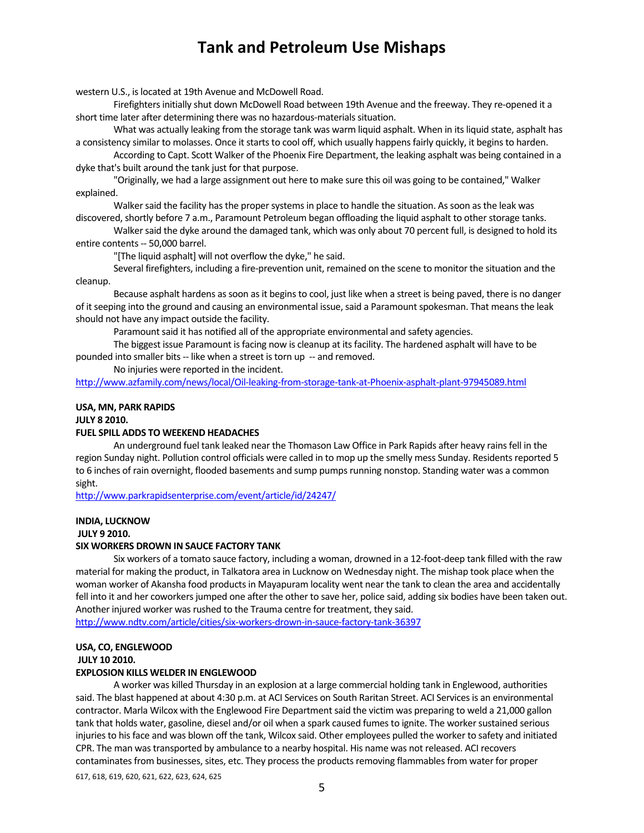western U.S., islocated at 19th Avenue and McDowell Road.

Firefighters initially shut down McDowell Road between 19th Avenue and the freeway. They re-opened it a short time later after determining there was no hazardous-materials situation.

What was actually leaking from the storage tank was warm liquid asphalt. When in itsliquid state, asphalt has a consistency similar to molasses. Once it starts to cool off, which usually happens fairly quickly, it begins to harden.

According to Capt. Scott Walker of the Phoenix Fire Department, the leaking asphalt was being contained in a dyke that's built around the tank just for that purpose.

"Originally, we had a large assignment out here to make sure this oil was going to be contained," Walker explained.

Walker said the facility has the proper systems in place to handle the situation. As soon as the leak was discovered, shortly before 7 a.m., Paramount Petroleum began offloading the liquid asphalt to other storage tanks.

Walker said the dyke around the damaged tank, which was only about 70 percent full, is designed to hold its entire contents ‐‐ 50,000 barrel.

"[The liquid asphalt] will not overflow the dyke," he said.

Several firefighters, including a fire‐prevention unit, remained on the scene to monitor the situation and the cleanup.

Because asphalt hardens as soon as it begins to cool, just like when a street is being paved, there is no danger of it seeping into the ground and causing an environmental issue, said a Paramount spokesman. That means the leak should not have any impact outside the facility.

Paramount said it has notified all of the appropriate environmental and safety agencies.

The biggest issue Paramount isfacing now is cleanup at itsfacility. The hardened asphalt will have to be pounded into smaller bits -- like when a street is torn up -- and removed.

No injuries were reported in the incident.

http://www.azfamily.com/news/local/Oil‐leaking‐from‐storage‐tank‐at‐Phoenix‐asphalt‐plant‐97945089.html

#### **USA, MN, PARK RAPIDS**

**JULY 8 2010.** 

#### **FUEL SPILL ADDS TO WEEKEND HEADACHES**

An underground fuel tank leaked near the Thomason Law Office in Park Rapids after heavy rains fell in the region Sunday night. Pollution control officials were called in to mop up the smelly mess Sunday. Residents reported 5 to 6 inches of rain overnight, flooded basements and sump pumps running nonstop. Standing water was a common sight.

http://www.parkrapidsenterprise.com/event/article/id/24247/

#### **INDIA, LUCKNOW**

**JULY 9 2010.** 

#### **SIX WORKERS DROWN IN SAUCE FACTORY TANK**

Six workers of a tomato sauce factory, including a woman, drowned in a 12‐foot‐deep tank filled with the raw material for making the product, in Talkatora area in Lucknow on Wednesday night. The mishap took place when the woman worker of Akansha food products in Mayapuram locality went near the tank to clean the area and accidentally fell into it and her coworkers jumped one after the other to save her, police said, adding six bodies have been taken out. Another injured worker was rushed to the Trauma centre for treatment, they said.

http://www.ndtv.com/article/cities/six-workers-drown-in-sauce-factory-tank-36397

### **USA, CO, ENGLEWOOD JULY 10 2010.**

#### **EXPLOSION KILLS WELDER IN ENGLEWOOD**

A worker was killed Thursday in an explosion at a large commercial holding tank in Englewood, authorities said. The blast happened at about 4:30 p.m. at ACI Services on South Raritan Street. ACI Services is an environmental contractor. Marla Wilcox with the Englewood Fire Departmentsaid the victim was preparing to weld a 21,000 gallon tank that holds water, gasoline, diesel and/or oil when a spark caused fumes to ignite. The worker sustained serious injuries to his face and was blown off the tank, Wilcox said. Other employees pulled the worker to safety and initiated CPR. The man was transported by ambulance to a nearby hospital. His name was not released. ACI recovers contaminates from businesses, sites, etc. They process the products removing flammables from water for proper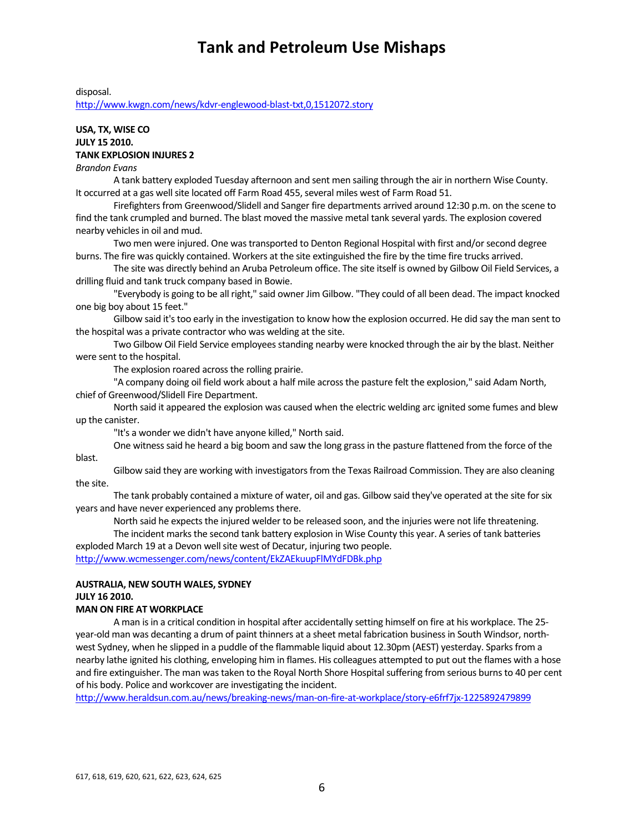disposal.

http://www.kwgn.com/news/kdvr‐englewood‐blast‐txt,0,1512072.story

#### **USA, TX, WISE CO JULY 15 2010. TANK EXPLOSION INJURES 2**

*Brandon Evans*

A tank battery exploded Tuesday afternoon and sent men sailing through the air in northern Wise County. It occurred at a gas well site located off Farm Road 455, several miles west of Farm Road 51.

Firefighters from Greenwood/Slidell and Sanger fire departments arrived around 12:30 p.m. on the scene to find the tank crumpled and burned. The blast moved the massive metal tank several yards. The explosion covered nearby vehicles in oil and mud.

Two men were injured. One was transported to Denton Regional Hospital with first and/or second degree burns. The fire was quickly contained. Workers at the site extinguished the fire by the time fire trucks arrived.

The site was directly behind an Aruba Petroleum office. The site itself is owned by Gilbow Oil Field Services, a drilling fluid and tank truck company based in Bowie.

"Everybody is going to be all right," said owner Jim Gilbow. "They could of all been dead. The impact knocked one big boy about 15 feet."

Gilbow said it'stoo early in the investigation to know how the explosion occurred. He did say the man sent to the hospital was a private contractor who was welding at the site.

Two Gilbow Oil Field Service employees standing nearby were knocked through the air by the blast. Neither were sent to the hospital.

The explosion roared across the rolling prairie.

"A company doing oil field work about a half mile across the pasture felt the explosion," said Adam North, chief of Greenwood/Slidell Fire Department.

North said it appeared the explosion was caused when the electric welding arc ignited some fumes and blew up the canister.

"It's a wonder we didn't have anyone killed," North said.

One witnesssaid he heard a big boom and saw the long grassin the pasture flattened from the force of the blast.

Gilbow said they are working with investigators from the Texas Railroad Commission. They are also cleaning the site.

The tank probably contained a mixture of water, oil and gas. Gilbow said they've operated at the site forsix years and have never experienced any problems there.

North said he expects the injured welder to be released soon, and the injuries were not life threatening.

The incident marks the second tank battery explosion in Wise County this year. A series of tank batteries exploded March 19 at a Devon well site west of Decatur, injuring two people.

http://www.wcmessenger.com/news/content/EkZAEkuupFlMYdFDBk.php

### **AUSTRALIA, NEW SOUTH WALES, SYDNEY JULY 16 2010.**

#### **MAN ON FIRE AT WORKPLACE**

A man is in a critical condition in hospital after accidentally setting himself on fire at his workplace. The 25year-old man was decanting a drum of paint thinners at a sheet metal fabrication business in South Windsor, northwest Sydney, when he slipped in a puddle of the flammable liquid about 12.30pm (AEST) yesterday. Sparks from a nearby lathe ignited his clothing, enveloping him in flames. His colleagues attempted to put out the flames with a hose and fire extinguisher. The man was taken to the Royal North Shore Hospital suffering from serious burns to 40 per cent of his body. Police and workcover are investigating the incident.

http://www.heraldsun.com.au/news/breaking‐news/man‐on‐fire‐at‐workplace/story‐e6frf7jx‐1225892479899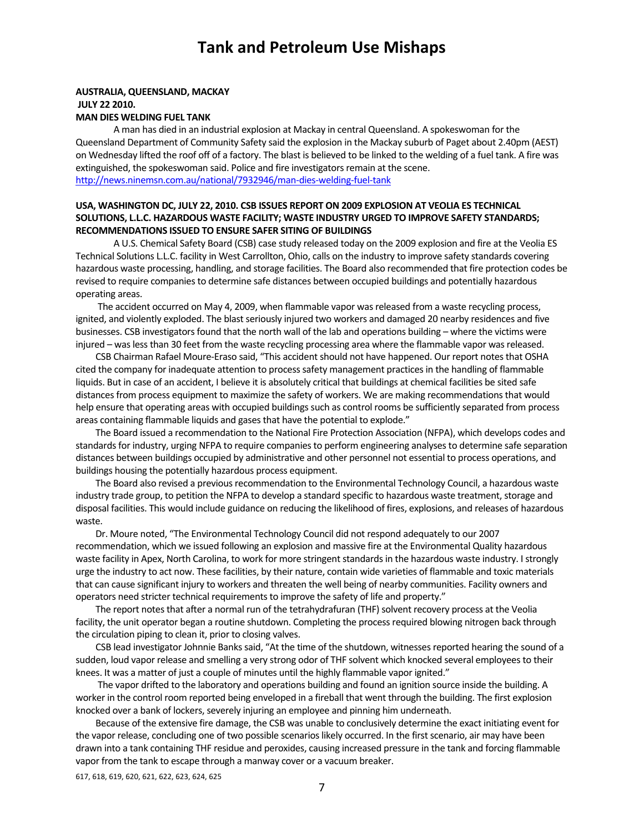#### **AUSTRALIA, QUEENSLAND, MACKAY JULY 22 2010. MAN DIES WELDING FUEL TANK**

A man has died in an industrial explosion at Mackay in central Queensland. A spokeswoman for the Queensland Department of Community Safety said the explosion in the Mackay suburb of Paget about 2.40pm (AEST) on Wednesday lifted the roof off of a factory. The blast is believed to be linked to the welding of a fuel tank. A fire was extinguished, the spokeswoman said. Police and fire investigators remain at the scene. http://news.ninemsn.com.au/national/7932946/man‐dies‐welding‐fuel‐tank

#### **USA, WASHINGTON DC, JULY 22, 2010. CSB ISSUES REPORT ON 2009 EXPLOSION AT VEOLIA ES TECHNICAL SOLUTIONS, L.L.C. HAZARDOUS WASTE FACILITY; WASTE INDUSTRY URGED TO IMPROVE SAFETY STANDARDS; RECOMMENDATIONS ISSUED TO ENSURE SAFER SITING OF BUILDINGS**

A U.S. Chemical Safety Board (CSB) case study released today on the 2009 explosion and fire at the Veolia ES Technical Solutions L.L.C. facility in West Carrollton, Ohio, calls on the industry to improve safety standards covering hazardous waste processing, handling, and storage facilities. The Board also recommended that fire protection codes be revised to require companies to determine safe distances between occupied buildings and potentially hazardous operating areas.

The accident occurred on May 4, 2009, when flammable vapor was released from a waste recycling process, ignited, and violently exploded. The blast seriously injured two workers and damaged 20 nearby residences and five businesses. CSB investigators found that the north wall of the lab and operations building – where the victims were injured – was less than 30 feet from the waste recycling processing area where the flammable vapor was released.

CSB Chairman Rafael Moure-Eraso said, "This accident should not have happened. Our report notes that OSHA cited the company for inadequate attention to processsafety management practicesin the handling of flammable liquids. But in case of an accident, I believe it is absolutely critical that buildings at chemical facilities be sited safe distances from process equipment to maximize the safety of workers. We are making recommendations that would help ensure that operating areas with occupied buildings such as control rooms be sufficiently separated from process areas containing flammable liquids and gases that have the potential to explode."

 The Board issued a recommendation to the National Fire Protection Association (NFPA), which develops codes and standards for industry, urging NFPA to require companies to perform engineering analyses to determine safe separation distances between buildings occupied by administrative and other personnel not essential to process operations, and buildings housing the potentially hazardous process equipment.

The Board also revised a previous recommendation to the Environmental Technology Council, a hazardous waste industry trade group, to petition the NFPA to develop a standard specific to hazardous waste treatment, storage and disposal facilities. This would include guidance on reducing the likelihood of fires, explosions, and releases of hazardous waste.

 Dr. Moure noted, "The Environmental Technology Council did not respond adequately to our 2007 recommendation, which we issued following an explosion and massive fire at the Environmental Quality hazardous waste facility in Apex, North Carolina, to work for more stringent standards in the hazardous waste industry. I strongly urge the industry to act now. These facilities, by their nature, contain wide varieties of flammable and toxic materials that can cause significant injury to workers and threaten the well being of nearby communities. Facility owners and operators need stricter technical requirements to improve the safety of life and property."

The report notes that after a normal run of the tetrahydrafuran (THF) solvent recovery process at the Veolia facility, the unit operator began a routine shutdown. Completing the process required blowing nitrogen back through the circulation piping to clean it, prior to closing valves.

CSB lead investigator Johnnie Banks said, "At the time of the shutdown, witnesses reported hearing the sound of a sudden, loud vapor release and smelling a very strong odor of THF solvent which knocked several employees to their knees. It was a matter of just a couple of minutes until the highly flammable vapor ignited."

 The vapor drifted to the laboratory and operations building and found an ignition source inside the building. A worker in the control room reported being enveloped in a fireball that went through the building. The first explosion knocked over a bank of lockers, severely injuring an employee and pinning him underneath.

 Because of the extensive fire damage, the CSB was unable to conclusively determine the exact initiating event for the vapor release, concluding one of two possible scenarios likely occurred. In the first scenario, air may have been drawn into a tank containing THF residue and peroxides, causing increased pressure in the tank and forcing flammable vapor from the tank to escape through a manway cover or a vacuum breaker.